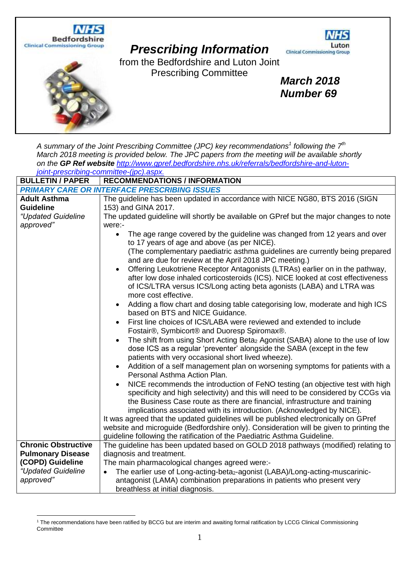

| A summary of the Joint Prescribing Committee (JPC) key recommendations <sup>1</sup> following the $7th$ |                                                                                                                                                                                                                                                                                                                                          |  |
|---------------------------------------------------------------------------------------------------------|------------------------------------------------------------------------------------------------------------------------------------------------------------------------------------------------------------------------------------------------------------------------------------------------------------------------------------------|--|
| March 2018 meeting is provided below. The JPC papers from the meeting will be available shortly         |                                                                                                                                                                                                                                                                                                                                          |  |
| on the GP Ref website http://www.gpref.bedfordshire.nhs.uk/referrals/bedfordshire-and-luton-            |                                                                                                                                                                                                                                                                                                                                          |  |
|                                                                                                         | joint-prescribing-committee-(jpc).aspx.                                                                                                                                                                                                                                                                                                  |  |
| <b>BULLETIN / PAPER</b>                                                                                 | <b>RECOMMENDATIONS / INFORMATION</b>                                                                                                                                                                                                                                                                                                     |  |
| <b>PRIMARY CARE OR INTERFACE PRESCRIBING ISSUES</b>                                                     |                                                                                                                                                                                                                                                                                                                                          |  |
| <b>Adult Asthma</b>                                                                                     | The guideline has been updated in accordance with NICE NG80, BTS 2016 (SIGN                                                                                                                                                                                                                                                              |  |
| <b>Guideline</b>                                                                                        | 153) and GINA 2017.                                                                                                                                                                                                                                                                                                                      |  |
| "Updated Guideline                                                                                      | The updated guideline will shortly be available on GPref but the major changes to note                                                                                                                                                                                                                                                   |  |
| approved"                                                                                               | were:-                                                                                                                                                                                                                                                                                                                                   |  |
|                                                                                                         | The age range covered by the guideline was changed from 12 years and over<br>$\bullet$<br>to 17 years of age and above (as per NICE).<br>(The complementary paediatric asthma guidelines are currently being prepared                                                                                                                    |  |
|                                                                                                         | and are due for review at the April 2018 JPC meeting.)                                                                                                                                                                                                                                                                                   |  |
|                                                                                                         | Offering Leukotriene Receptor Antagonists (LTRAs) earlier on in the pathway,<br>$\bullet$<br>after low dose inhaled corticosteroids (ICS). NICE looked at cost effectiveness<br>of ICS/LTRA versus ICS/Long acting beta agonists (LABA) and LTRA was<br>more cost effective.                                                             |  |
|                                                                                                         | Adding a flow chart and dosing table categorising low, moderate and high ICS<br>$\bullet$<br>based on BTS and NICE Guidance.                                                                                                                                                                                                             |  |
|                                                                                                         | First line choices of ICS/LABA were reviewed and extended to include<br>$\bullet$<br>Fostair®, Symbicort® and Duoresp Spiromax®.                                                                                                                                                                                                         |  |
|                                                                                                         | The shift from using Short Acting Beta <sub>2</sub> Agonist (SABA) alone to the use of low<br>$\bullet$<br>dose ICS as a regular 'preventer' alongside the SABA (except in the few<br>patients with very occasional short lived wheeze).                                                                                                 |  |
|                                                                                                         | Addition of a self management plan on worsening symptoms for patients with a<br>$\bullet$<br>Personal Asthma Action Plan.                                                                                                                                                                                                                |  |
|                                                                                                         | NICE recommends the introduction of FeNO testing (an objective test with high<br>$\bullet$<br>specificity and high selectivity) and this will need to be considered by CCGs via<br>the Business Case route as there are financial, infrastructure and training<br>implications associated with its introduction. (Acknowledged by NICE). |  |
|                                                                                                         | It was agreed that the updated guidelines will be published electronically on GPref                                                                                                                                                                                                                                                      |  |
|                                                                                                         | website and microguide (Bedfordshire only). Consideration will be given to printing the                                                                                                                                                                                                                                                  |  |
|                                                                                                         | guideline following the ratification of the Paediatric Asthma Guideline.                                                                                                                                                                                                                                                                 |  |
| <b>Chronic Obstructive</b>                                                                              | The guideline has been updated based on GOLD 2018 pathways (modified) relating to                                                                                                                                                                                                                                                        |  |
| <b>Pulmonary Disease</b>                                                                                | diagnosis and treatment.                                                                                                                                                                                                                                                                                                                 |  |
| (COPD) Guideline                                                                                        | The main pharmacological changes agreed were:-                                                                                                                                                                                                                                                                                           |  |
| "Updated Guideline                                                                                      | The earlier use of Long-acting-beta <sub>2</sub> -agonist (LABA)/Long-acting-muscarinic-<br>$\bullet$                                                                                                                                                                                                                                    |  |
| approved"                                                                                               | antagonist (LAMA) combination preparations in patients who present very                                                                                                                                                                                                                                                                  |  |
|                                                                                                         | breathless at initial diagnosis.                                                                                                                                                                                                                                                                                                         |  |

<sup>&</sup>lt;sup>1</sup> The recommendations have been ratified by BCCG but are interim and awaiting formal ratification by LCCG Clinical Commissioning **Committee**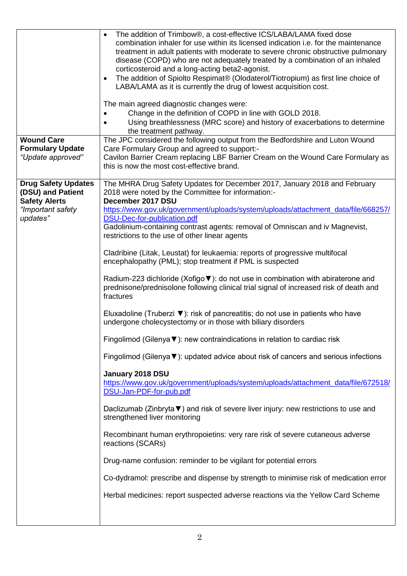| <b>Wound Care</b><br><b>Formulary Update</b>                                                             | The addition of Trimbow®, a cost-effective ICS/LABA/LAMA fixed dose<br>$\bullet$<br>combination inhaler for use within its licensed indication i.e. for the maintenance<br>treatment in adult patients with moderate to severe chronic obstructive pulmonary<br>disease (COPD) who are not adequately treated by a combination of an inhaled<br>corticosteroid and a long-acting beta2-agonist.<br>The addition of Spiolto Respimat® (Olodaterol/Tiotropium) as first line choice of<br>$\bullet$<br>LABA/LAMA as it is currently the drug of lowest acquisition cost.<br>The main agreed diagnostic changes were:<br>Change in the definition of COPD in line with GOLD 2018.<br>Using breathlessness (MRC score) and history of exacerbations to determine<br>$\bullet$<br>the treatment pathway.<br>The JPC considered the following output from the Bedfordshire and Luton Wound<br>Care Formulary Group and agreed to support:-                                                                                                                                                                                                                                                                                                                                                                                                                                                                                                                                                                                                                                                                                                                                                                                    |
|----------------------------------------------------------------------------------------------------------|-------------------------------------------------------------------------------------------------------------------------------------------------------------------------------------------------------------------------------------------------------------------------------------------------------------------------------------------------------------------------------------------------------------------------------------------------------------------------------------------------------------------------------------------------------------------------------------------------------------------------------------------------------------------------------------------------------------------------------------------------------------------------------------------------------------------------------------------------------------------------------------------------------------------------------------------------------------------------------------------------------------------------------------------------------------------------------------------------------------------------------------------------------------------------------------------------------------------------------------------------------------------------------------------------------------------------------------------------------------------------------------------------------------------------------------------------------------------------------------------------------------------------------------------------------------------------------------------------------------------------------------------------------------------------------------------------------------------------|
| "Update approved"                                                                                        | Cavilon Barrier Cream replacing LBF Barrier Cream on the Wound Care Formulary as<br>this is now the most cost-effective brand.                                                                                                                                                                                                                                                                                                                                                                                                                                                                                                                                                                                                                                                                                                                                                                                                                                                                                                                                                                                                                                                                                                                                                                                                                                                                                                                                                                                                                                                                                                                                                                                          |
| <b>Drug Safety Updates</b><br>(DSU) and Patient<br><b>Safety Alerts</b><br>"Important safety<br>updates" | The MHRA Drug Safety Updates for December 2017, January 2018 and February<br>2018 were noted by the Committee for information:-<br>December 2017 DSU<br>https://www.gov.uk/government/uploads/system/uploads/attachment_data/file/668257/<br>DSU-Dec-for-publication.pdf<br>Gadolinium-containing contrast agents: removal of Omniscan and iv Magnevist,<br>restrictions to the use of other linear agents<br>Cladribine (Litak, Leustat) for leukaemia: reports of progressive multifocal<br>encephalopathy (PML); stop treatment if PML is suspected<br>Radium-223 dichloride (Xofigo ▼): do not use in combination with abiraterone and<br>prednisone/prednisolone following clinical trial signal of increased risk of death and<br>fractures<br>Eluxadoline (Truberzi $\blacktriangledown$ ): risk of pancreatitis; do not use in patients who have<br>undergone cholecystectomy or in those with biliary disorders<br>Fingolimod (Gilenya $\nabla$ ): new contraindications in relation to cardiac risk<br>Fingolimod (Gilenya ▼): updated advice about risk of cancers and serious infections<br>January 2018 DSU<br>https://www.gov.uk/government/uploads/system/uploads/attachment_data/file/672518/<br>DSU-Jan-PDF-for-pub.pdf<br>Daclizumab (Zinbryta ▼) and risk of severe liver injury: new restrictions to use and<br>strengthened liver monitoring<br>Recombinant human erythropoietins: very rare risk of severe cutaneous adverse<br>reactions (SCARs)<br>Drug-name confusion: reminder to be vigilant for potential errors<br>Co-dydramol: prescribe and dispense by strength to minimise risk of medication error<br>Herbal medicines: report suspected adverse reactions via the Yellow Card Scheme |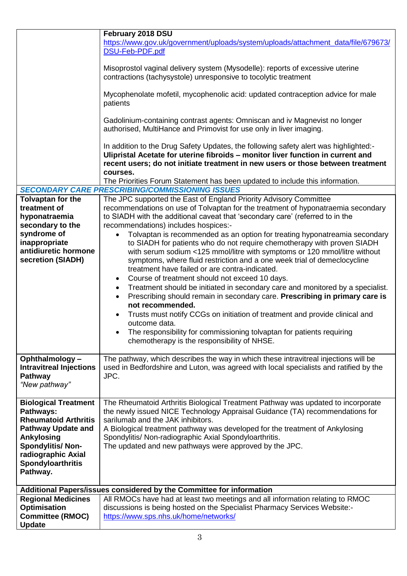|                                                                                                                                                                                                             | February 2018 DSU<br>https://www.gov.uk/government/uploads/system/uploads/attachment_data/file/679673/<br>DSU-Feb-PDF.pdf<br>Misoprostol vaginal delivery system (Mysodelle): reports of excessive uterine<br>contractions (tachysystole) unresponsive to tocolytic treatment<br>Mycophenolate mofetil, mycophenolic acid: updated contraception advice for male<br>patients<br>Gadolinium-containing contrast agents: Omniscan and iv Magnevist no longer<br>authorised, MultiHance and Primovist for use only in liver imaging.<br>In addition to the Drug Safety Updates, the following safety alert was highlighted:-                                                                                                                                                                                                                                                                                                                                                                                                                                                                                                                                     |  |
|-------------------------------------------------------------------------------------------------------------------------------------------------------------------------------------------------------------|---------------------------------------------------------------------------------------------------------------------------------------------------------------------------------------------------------------------------------------------------------------------------------------------------------------------------------------------------------------------------------------------------------------------------------------------------------------------------------------------------------------------------------------------------------------------------------------------------------------------------------------------------------------------------------------------------------------------------------------------------------------------------------------------------------------------------------------------------------------------------------------------------------------------------------------------------------------------------------------------------------------------------------------------------------------------------------------------------------------------------------------------------------------|--|
|                                                                                                                                                                                                             | Ulipristal Acetate for uterine fibroids - monitor liver function in current and<br>recent users; do not initiate treatment in new users or those between treatment<br>courses.                                                                                                                                                                                                                                                                                                                                                                                                                                                                                                                                                                                                                                                                                                                                                                                                                                                                                                                                                                                |  |
|                                                                                                                                                                                                             | The Priorities Forum Statement has been updated to include this information.<br><b>SECONDARY CARE PRESCRIBING/COMMISSIONING ISSUES</b>                                                                                                                                                                                                                                                                                                                                                                                                                                                                                                                                                                                                                                                                                                                                                                                                                                                                                                                                                                                                                        |  |
| Tolvaptan for the<br>treatment of<br>hyponatraemia<br>secondary to the<br>syndrome of<br>inappropriate<br>antidiuretic hormone<br>secretion (SIADH)                                                         | The JPC supported the East of England Priority Advisory Committee<br>recommendations on use of Tolvaptan for the treatment of hyponatraemia secondary<br>to SIADH with the additional caveat that 'secondary care' (referred to in the<br>recommendations) includes hospices:-<br>Tolvaptan is recommended as an option for treating hyponatreamia secondary<br>$\bullet$<br>to SIADH for patients who do not require chemotherapy with proven SIADH<br>with serum sodium <125 mmol/litre with symptoms or 120 mmol/litre without<br>symptoms, where fluid restriction and a one week trial of demeclocycline<br>treatment have failed or are contra-indicated.<br>Course of treatment should not exceed 10 days.<br>$\bullet$<br>Treatment should be initiated in secondary care and monitored by a specialist.<br>٠<br>Prescribing should remain in secondary care. Prescribing in primary care is<br>$\bullet$<br>not recommended.<br>Trusts must notify CCGs on initiation of treatment and provide clinical and<br>outcome data.<br>The responsibility for commissioning tolvaptan for patients requiring<br>chemotherapy is the responsibility of NHSE. |  |
| Ophthalmology-<br><b>Intravitreal Injections</b><br><b>Pathway</b><br>"New pathway"                                                                                                                         | The pathway, which describes the way in which these intravitreal injections will be<br>used in Bedfordshire and Luton, was agreed with local specialists and ratified by the<br>JPC.                                                                                                                                                                                                                                                                                                                                                                                                                                                                                                                                                                                                                                                                                                                                                                                                                                                                                                                                                                          |  |
| <b>Biological Treatment</b><br>Pathways:<br><b>Rheumatoid Arthritis</b><br><b>Pathway Update and</b><br>Ankylosing<br><b>Spondylitis/Non-</b><br>radiographic Axial<br><b>Spondyloarthritis</b><br>Pathway. | The Rheumatoid Arthritis Biological Treatment Pathway was updated to incorporate<br>the newly issued NICE Technology Appraisal Guidance (TA) recommendations for<br>sarilumab and the JAK inhibitors.<br>A Biological treatment pathway was developed for the treatment of Ankylosing<br>Spondylitis/ Non-radiographic Axial Spondyloarthritis.<br>The updated and new pathways were approved by the JPC.                                                                                                                                                                                                                                                                                                                                                                                                                                                                                                                                                                                                                                                                                                                                                     |  |
| Additional Papers/issues considered by the Committee for information                                                                                                                                        |                                                                                                                                                                                                                                                                                                                                                                                                                                                                                                                                                                                                                                                                                                                                                                                                                                                                                                                                                                                                                                                                                                                                                               |  |
| <b>Regional Medicines</b><br><b>Optimisation</b><br><b>Committee (RMOC)</b><br><b>Update</b>                                                                                                                | All RMOCs have had at least two meetings and all information relating to RMOC<br>discussions is being hosted on the Specialist Pharmacy Services Website:-<br>https://www.sps.nhs.uk/home/networks/                                                                                                                                                                                                                                                                                                                                                                                                                                                                                                                                                                                                                                                                                                                                                                                                                                                                                                                                                           |  |